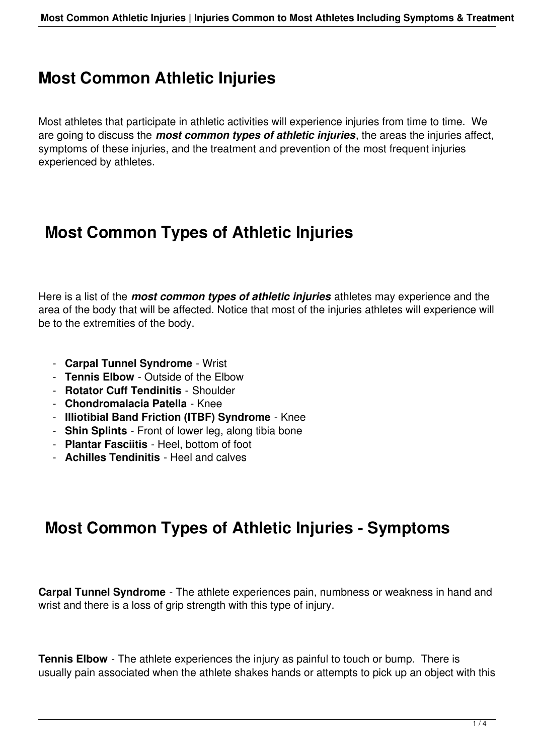## **Most Common Athletic Injuries**

Most athletes that participate in athletic activities will experience injuries from time to time. We are going to discuss the *most common types of athletic injuries*, the areas the injuries affect, symptoms of these injuries, and the treatment and prevention of the most frequent injuries experienced by athletes.

## **Most Common Types of Athletic Injuries**

Here is a list of the *most common types of athletic injuries* athletes may experience and the area of the body that will be affected. Notice that most of the injuries athletes will experience will be to the extremities of the body.

- **Carpal Tunnel Syndrome** Wrist
- **Tennis Elbow** Outside of the Elbow
- **Rotator Cuff Tendinitis** Shoulder
- **Chondromalacia Patella** Knee
- **Illiotibial Band Friction (ITBF) Syndrome** Knee
- **Shin Splints** Front of lower leg, along tibia bone
- **Plantar Fasciitis** Heel, bottom of foot
- **Achilles Tendinitis** Heel and calves

## **Most Common Types of Athletic Injuries - Symptoms**

**Carpal Tunnel Syndrome** - The athlete experiences pain, numbness or weakness in hand and wrist and there is a loss of grip strength with this type of injury.

**Tennis Elbow** - The athlete experiences the injury as painful to touch or bump. There is usually pain associated when the athlete shakes hands or attempts to pick up an object with this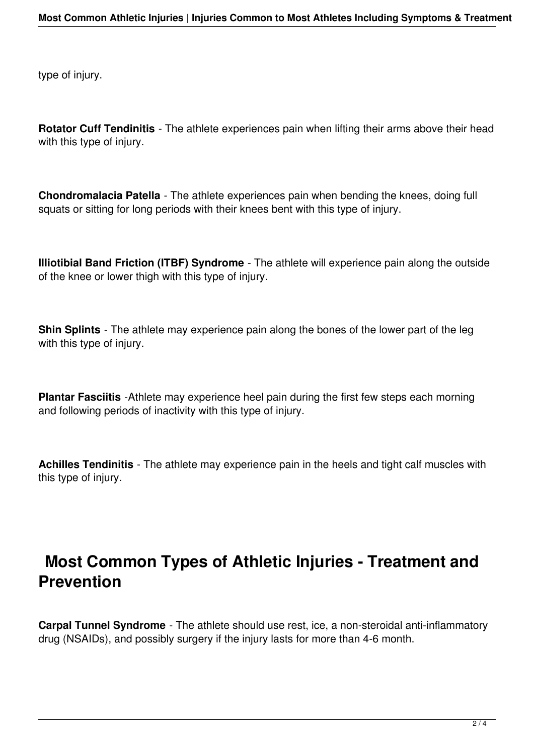type of injury.

**Rotator Cuff Tendinitis** - The athlete experiences pain when lifting their arms above their head with this type of injury.

**Chondromalacia Patella** - The athlete experiences pain when bending the knees, doing full squats or sitting for long periods with their knees bent with this type of injury.

**Illiotibial Band Friction (ITBF) Syndrome** - The athlete will experience pain along the outside of the knee or lower thigh with this type of injury.

**Shin Splints** - The athlete may experience pain along the bones of the lower part of the leg with this type of injury.

**Plantar Fasciitis** -Athlete may experience heel pain during the first few steps each morning and following periods of inactivity with this type of injury.

**Achilles Tendinitis** - The athlete may experience pain in the heels and tight calf muscles with this type of injury.

## **Most Common Types of Athletic Injuries - Treatment and Prevention**

**Carpal Tunnel Syndrome** - The athlete should use rest, ice, a non-steroidal anti-inflammatory drug (NSAIDs), and possibly surgery if the injury lasts for more than 4-6 month.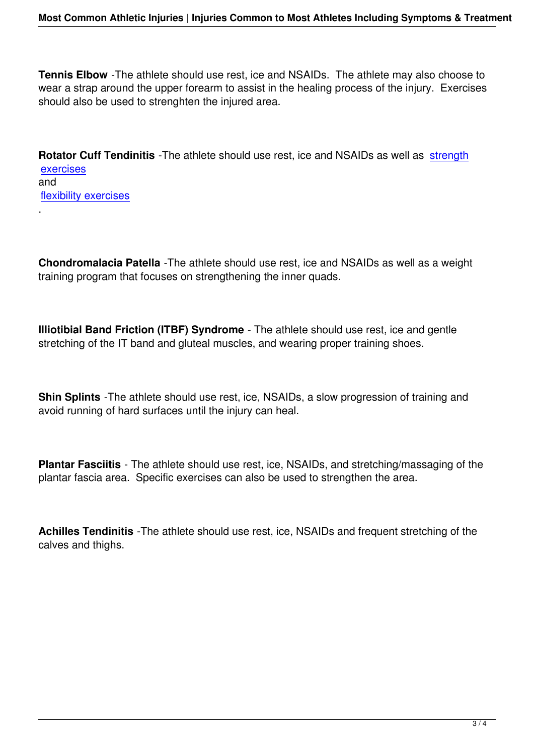**Tennis Elbow** -The athlete should use rest, ice and NSAIDs. The athlete may also choose to wear a strap around the upper forearm to assist in the healing process of the injury. Exercises should also be used to strenghten the injured area.

**Rotator Cuff Tendinitis** -The athlete should use rest, ice and NSAIDs as well as strength exercises and flexibility exercises

[.](index.php?option=com_content&view=article&id=76&Itemid=83)

**Chondromalacia Patella** -The athlete should use rest, ice and NSAIDs as well as a weight training program that focuses on strengthening the inner quads.

**Illiotibial Band Friction (ITBF) Syndrome** - The athlete should use rest, ice and gentle stretching of the IT band and gluteal muscles, and wearing proper training shoes.

**Shin Splints** -The athlete should use rest, ice, NSAIDs, a slow progression of training and avoid running of hard surfaces until the injury can heal.

**Plantar Fasciitis** - The athlete should use rest, ice, NSAIDs, and stretching/massaging of the plantar fascia area. Specific exercises can also be used to strengthen the area.

**Achilles Tendinitis** -The athlete should use rest, ice, NSAIDs and frequent stretching of the calves and thighs.